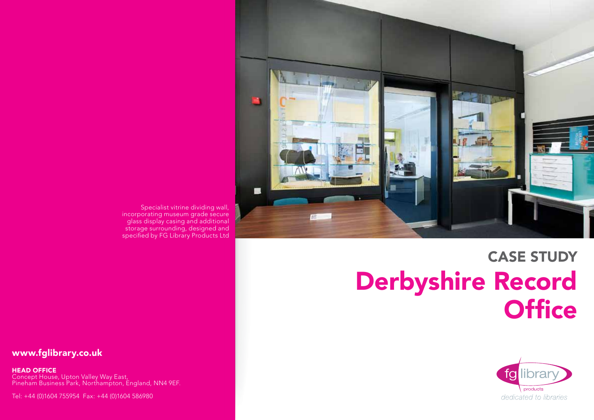

# CASE STUDY Derbyshire Record **Office**



Specialist vitrine dividing wall, incorporating museum grade secure glass display casing and additional storage surrounding, designed and specified by FG Library Products Ltd

## www.fglibrary.co.uk

Head Office

Concept House, Upton Valley Way East, Pineham Business Park, Northampton, England, NN4 9EF.

Tel: +44 (0)1604 755954 Fax: +44 (0)1604 586980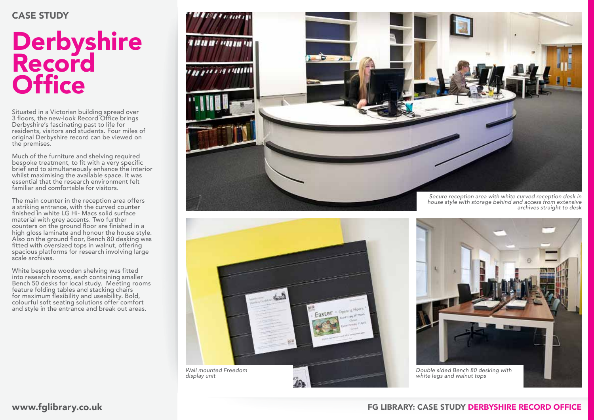#### CASE STUDY

## **Derbyshire** Record **Office**

Situated in a Victorian building spread over 3 floors, the new-look Record Office brings Derbyshire's fascinating past to life for residents, visitors and students. Four miles of original Derbyshire record can be viewed on the premises.

Much of the furniture and shelving required bespoke treatment, to fit with a very specific brief and to simultaneously enhance the interior whilst maximising the available space. It was essential that the research environment felt familiar and comfortable for visitors.

The main counter in the reception area offers a striking entrance, with the curved counter finished in white LG Hi- Macs solid surface material with grey accents. Two further counters on the ground floor are finished in a high gloss laminate and honour the house style. Also on the ground floor, Bench 80 desking was fitted with oversized tops in walnut, offering spacious platforms for research involving large scale archives.

White bespoke wooden shelving was fitted into research rooms, each containing smaller Bench 50 desks for local study. Meeting rooms feature folding tables and stacking chairs for maximum flexibility and useability. Bold, colourful soft seating solutions offer comfort and style in the entrance and break out areas.





*house style with storage behind and access from extensive archives straight to desk*

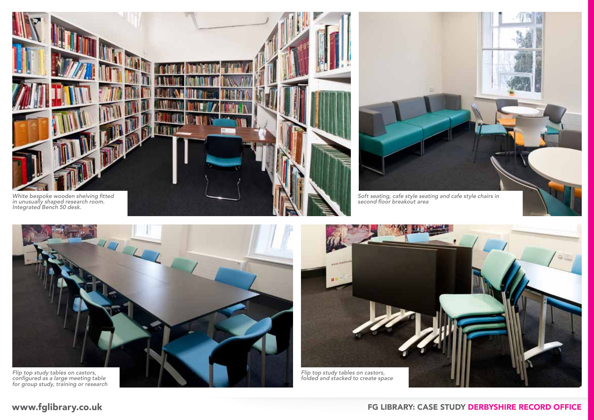



second floor breakout area



configured as a large meeting table for group study, training or research



### www.fglibrary.co.uk